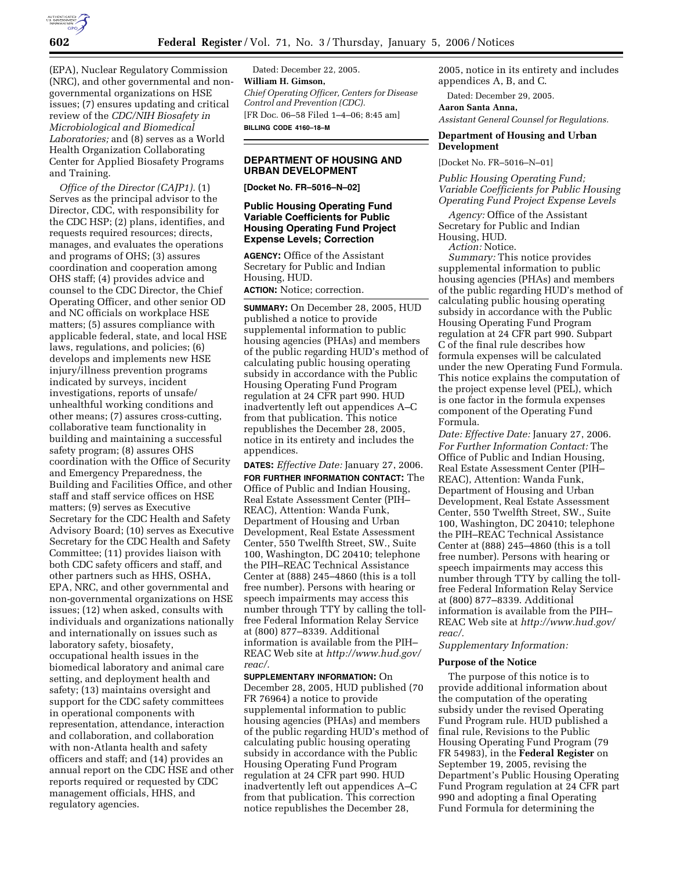

(EPA), Nuclear Regulatory Commission (NRC), and other governmental and nongovernmental organizations on HSE issues; (7) ensures updating and critical review of the *CDC/NIH Biosafety in Microbiological and Biomedical Laboratories;* and (8) serves as a World Health Organization Collaborating Center for Applied Biosafety Programs and Training.

*Office of the Director (CAJP1).* (1) Serves as the principal advisor to the Director, CDC, with responsibility for the CDC HSP; (2) plans, identifies, and requests required resources; directs, manages, and evaluates the operations and programs of OHS; (3) assures coordination and cooperation among OHS staff; (4) provides advice and counsel to the CDC Director, the Chief Operating Officer, and other senior OD and NC officials on workplace HSE matters; (5) assures compliance with applicable federal, state, and local HSE laws, regulations, and policies; (6) develops and implements new HSE injury/illness prevention programs indicated by surveys, incident investigations, reports of unsafe/ unhealthful working conditions and other means; (7) assures cross-cutting, collaborative team functionality in building and maintaining a successful safety program; (8) assures OHS coordination with the Office of Security and Emergency Preparedness, the Building and Facilities Office, and other staff and staff service offices on HSE matters; (9) serves as Executive Secretary for the CDC Health and Safety Advisory Board; (10) serves as Executive Secretary for the CDC Health and Safety Committee; (11) provides liaison with both CDC safety officers and staff, and other partners such as HHS, OSHA, EPA, NRC, and other governmental and non-governmental organizations on HSE issues; (12) when asked, consults with individuals and organizations nationally and internationally on issues such as laboratory safety, biosafety, occupational health issues in the biomedical laboratory and animal care setting, and deployment health and safety; (13) maintains oversight and support for the CDC safety committees in operational components with representation, attendance, interaction and collaboration, and collaboration with non-Atlanta health and safety officers and staff; and (14) provides an annual report on the CDC HSE and other reports required or requested by CDC management officials, HHS, and regulatory agencies.

Dated: December 22, 2005. **William H. Gimson,**  *Chief Operating Officer, Centers for Disease Control and Prevention (CDC).*  [FR Doc. 06–58 Filed 1–4–06; 8:45 am] **BILLING CODE 4160–18–M** 

## **DEPARTMENT OF HOUSING AND URBAN DEVELOPMENT**

**[Docket No. FR–5016–N–02]** 

## **Public Housing Operating Fund Variable Coefficients for Public Housing Operating Fund Project Expense Levels; Correction**

**AGENCY:** Office of the Assistant Secretary for Public and Indian Housing, HUD. **ACTION:** Notice; correction.

**SUMMARY:** On December 28, 2005, HUD published a notice to provide supplemental information to public housing agencies (PHAs) and members of the public regarding HUD's method of calculating public housing operating subsidy in accordance with the Public Housing Operating Fund Program regulation at 24 CFR part 990. HUD inadvertently left out appendices A–C from that publication. This notice republishes the December 28, 2005, notice in its entirety and includes the appendices.

**DATES:** *Effective Date:* January 27, 2006. **FOR FURTHER INFORMATION CONTACT:** The Office of Public and Indian Housing, Real Estate Assessment Center (PIH– REAC), Attention: Wanda Funk, Department of Housing and Urban Development, Real Estate Assessment Center, 550 Twelfth Street, SW., Suite 100, Washington, DC 20410; telephone the PIH–REAC Technical Assistance Center at (888) 245–4860 (this is a toll free number). Persons with hearing or speech impairments may access this number through TTY by calling the tollfree Federal Information Relay Service at (800) 877–8339. Additional information is available from the PIH– REAC Web site at *http://www.hud.gov/ reac/.* 

**SUPPLEMENTARY INFORMATION:** On December 28, 2005, HUD published (70 FR 76964) a notice to provide supplemental information to public housing agencies (PHAs) and members of the public regarding HUD's method of calculating public housing operating subsidy in accordance with the Public Housing Operating Fund Program regulation at 24 CFR part 990. HUD inadvertently left out appendices A–C from that publication. This correction notice republishes the December 28,

2005, notice in its entirety and includes appendices A, B, and C.

Dated: December 29, 2005.

**Aaron Santa Anna,**  *Assistant General Counsel for Regulations.* 

# **Department of Housing and Urban Development**

[Docket No. FR–5016–N–01]

*Public Housing Operating Fund; Variable Coefficients for Public Housing Operating Fund Project Expense Levels* 

*Agency:* Office of the Assistant Secretary for Public and Indian Housing, HUD.

*Action:* Notice.

*Summary:* This notice provides supplemental information to public housing agencies (PHAs) and members of the public regarding HUD's method of calculating public housing operating subsidy in accordance with the Public Housing Operating Fund Program regulation at 24 CFR part 990. Subpart C of the final rule describes how formula expenses will be calculated under the new Operating Fund Formula. This notice explains the computation of the project expense level (PEL), which is one factor in the formula expenses component of the Operating Fund Formula.

*Date: Effective Date:* January 27, 2006. *For Further Information Contact:* The Office of Public and Indian Housing, Real Estate Assessment Center (PIH– REAC), Attention: Wanda Funk, Department of Housing and Urban Development, Real Estate Assessment Center, 550 Twelfth Street, SW., Suite 100, Washington, DC 20410; telephone the PIH–REAC Technical Assistance Center at (888) 245–4860 (this is a toll free number). Persons with hearing or speech impairments may access this number through TTY by calling the tollfree Federal Information Relay Service at (800) 877–8339. Additional information is available from the PIH– REAC Web site at *http://www.hud.gov/ reac/.* 

*Supplementary Information:* 

### **Purpose of the Notice**

The purpose of this notice is to provide additional information about the computation of the operating subsidy under the revised Operating Fund Program rule. HUD published a final rule, Revisions to the Public Housing Operating Fund Program (79 FR 54983), in the **Federal Register** on September 19, 2005, revising the Department's Public Housing Operating Fund Program regulation at 24 CFR part 990 and adopting a final Operating Fund Formula for determining the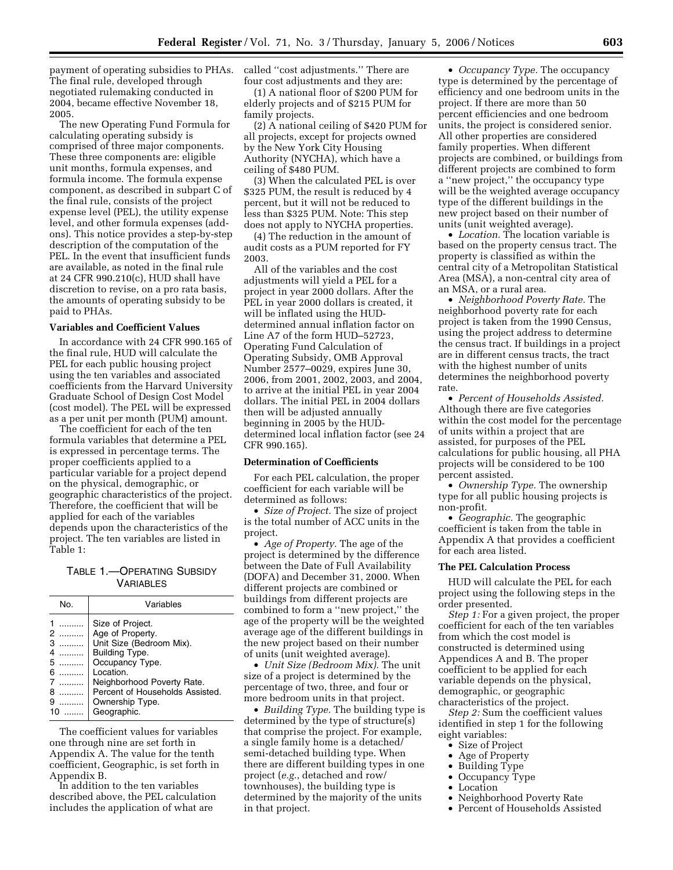payment of operating subsidies to PHAs. The final rule, developed through negotiated rulemaking conducted in 2004, became effective November 18, 2005.

The new Operating Fund Formula for calculating operating subsidy is comprised of three major components. These three components are: eligible unit months, formula expenses, and formula income. The formula expense component, as described in subpart C of the final rule, consists of the project expense level (PEL), the utility expense level, and other formula expenses (addons). This notice provides a step-by-step description of the computation of the PEL. In the event that insufficient funds are available, as noted in the final rule at 24 CFR 990.210(c), HUD shall have discretion to revise, on a pro rata basis, the amounts of operating subsidy to be paid to PHAs.

### **Variables and Coefficient Values**

In accordance with 24 CFR 990.165 of the final rule, HUD will calculate the PEL for each public housing project using the ten variables and associated coefficients from the Harvard University Graduate School of Design Cost Model (cost model). The PEL will be expressed as a per unit per month (PUM) amount.

The coefficient for each of the ten formula variables that determine a PEL is expressed in percentage terms. The proper coefficients applied to a particular variable for a project depend on the physical, demographic, or geographic characteristics of the project. Therefore, the coefficient that will be applied for each of the variables depends upon the characteristics of the project. The ten variables are listed in Table 1:

TABLE 1.—OPERATING SUBSIDY VARIABLES

| No.                                                 | Variables                                                                                                                                                                                                             |
|-----------------------------------------------------|-----------------------------------------------------------------------------------------------------------------------------------------------------------------------------------------------------------------------|
| .<br>2<br>.<br>З<br>.<br>4<br>.<br>5<br>6<br>8<br>9 | Size of Project.<br>Age of Property.<br>Unit Size (Bedroom Mix).<br>Building Type.<br>Occupancy Type.<br>Location.<br>Neighborhood Poverty Rate.<br>Percent of Households Assisted.<br>Ownership Type.<br>Geographic. |

The coefficient values for variables one through nine are set forth in Appendix A. The value for the tenth coefficient, Geographic, is set forth in Appendix B.

In addition to the ten variables described above, the PEL calculation includes the application of what are

called ''cost adjustments.'' There are four cost adjustments and they are:

(1) A national floor of \$200 PUM for elderly projects and of \$215 PUM for family projects.

(2) A national ceiling of \$420 PUM for all projects, except for projects owned by the New York City Housing Authority (NYCHA), which have a ceiling of \$480 PUM.

(3) When the calculated PEL is over \$325 PUM, the result is reduced by 4 percent, but it will not be reduced to less than \$325 PUM. Note: This step does not apply to NYCHA properties.

(4) The reduction in the amount of audit costs as a PUM reported for FY 2003.

All of the variables and the cost adjustments will yield a PEL for a project in year 2000 dollars. After the PEL in year 2000 dollars is created, it will be inflated using the HUDdetermined annual inflation factor on Line A7 of the form HUD–52723, Operating Fund Calculation of Operating Subsidy, OMB Approval Number 2577–0029, expires June 30, 2006, from 2001, 2002, 2003, and 2004, to arrive at the initial PEL in year 2004 dollars. The initial PEL in 2004 dollars then will be adjusted annually beginning in 2005 by the HUDdetermined local inflation factor (see 24 CFR 990.165).

## **Determination of Coefficients**

For each PEL calculation, the proper coefficient for each variable will be determined as follows:

• *Size of Project.* The size of project is the total number of ACC units in the project.

• *Age of Property.* The age of the project is determined by the difference between the Date of Full Availability (DOFA) and December 31, 2000. When different projects are combined or buildings from different projects are combined to form a ''new project,'' the age of the property will be the weighted average age of the different buildings in the new project based on their number of units (unit weighted average).

• *Unit Size (Bedroom Mix).* The unit size of a project is determined by the percentage of two, three, and four or more bedroom units in that project.

• *Building Type.* The building type is determined by the type of structure(s) that comprise the project. For example, a single family home is a detached/ semi-detached building type. When there are different building types in one project (*e.g.*, detached and row/ townhouses), the building type is determined by the majority of the units in that project.

• *Occupancy Type.* The occupancy type is determined by the percentage of efficiency and one bedroom units in the project. If there are more than 50 percent efficiencies and one bedroom units, the project is considered senior. All other properties are considered family properties. When different projects are combined, or buildings from different projects are combined to form a ''new project,'' the occupancy type will be the weighted average occupancy type of the different buildings in the new project based on their number of units (unit weighted average).

• *Location.* The location variable is based on the property census tract. The property is classified as within the central city of a Metropolitan Statistical Area (MSA), a non-central city area of an MSA, or a rural area.

• *Neighborhood Poverty Rate.* The neighborhood poverty rate for each project is taken from the 1990 Census, using the project address to determine the census tract. If buildings in a project are in different census tracts, the tract with the highest number of units determines the neighborhood poverty rate.

• *Percent of Households Assisted.*  Although there are five categories within the cost model for the percentage of units within a project that are assisted, for purposes of the PEL calculations for public housing, all PHA projects will be considered to be 100 percent assisted.

• *Ownership Type.* The ownership type for all public housing projects is non-profit.

• *Geographic.* The geographic coefficient is taken from the table in Appendix A that provides a coefficient for each area listed.

### **The PEL Calculation Process**

HUD will calculate the PEL for each project using the following steps in the order presented.

*Step 1:* For a given project, the proper coefficient for each of the ten variables from which the cost model is constructed is determined using Appendices A and B. The proper coefficient to be applied for each variable depends on the physical, demographic, or geographic characteristics of the project.

*Step 2:* Sum the coefficient values identified in step 1 for the following eight variables:

- Size of Project
- Age of Property
- Building Type<br>• Occupancy Type
- Occupancy Type
- Location
- Neighborhood Poverty Rate
- Percent of Households Assisted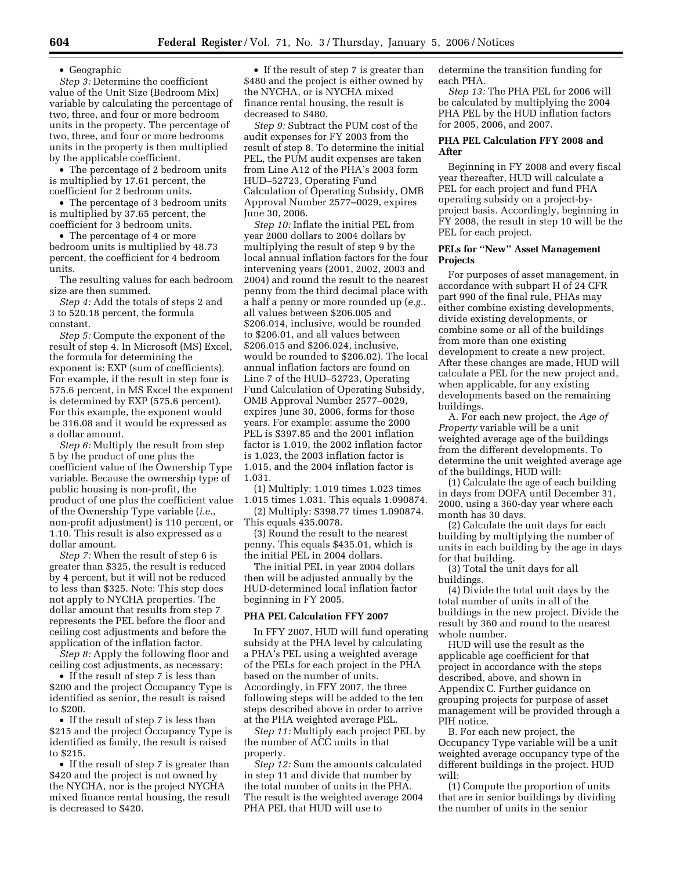• Geographic

*Step 3:* Determine the coefficient value of the Unit Size (Bedroom Mix) variable by calculating the percentage of two, three, and four or more bedroom units in the property. The percentage of two, three, and four or more bedrooms units in the property is then multiplied by the applicable coefficient.

• The percentage of 2 bedroom units is multiplied by 17.61 percent, the coefficient for 2 bedroom units.

• The percentage of 3 bedroom units is multiplied by 37.65 percent, the coefficient for 3 bedroom units.

• The percentage of 4 or more bedroom units is multiplied by 48.73 percent, the coefficient for 4 bedroom units.

The resulting values for each bedroom size are then summed.

*Step 4:* Add the totals of steps 2 and 3 to 520.18 percent, the formula constant.

*Step 5:* Compute the exponent of the result of step 4. In Microsoft (MS) Excel, the formula for determining the exponent is: EXP (sum of coefficients). For example, if the result in step four is 575.6 percent, in MS Excel the exponent is determined by EXP (575.6 percent). For this example, the exponent would be 316.08 and it would be expressed as a dollar amount.

*Step 6:* Multiply the result from step 5 by the product of one plus the coefficient value of the Ownership Type variable. Because the ownership type of public housing is non-profit, the product of one plus the coefficient value of the Ownership Type variable (*i.e.*, non-profit adjustment) is 110 percent, or 1.10. This result is also expressed as a dollar amount.

*Step 7:* When the result of step 6 is greater than \$325, the result is reduced by 4 percent, but it will not be reduced to less than \$325. Note: This step does not apply to NYCHA properties. The dollar amount that results from step 7 represents the PEL before the floor and ceiling cost adjustments and before the application of the inflation factor.

*Step 8:* Apply the following floor and ceiling cost adjustments, as necessary:

• If the result of step 7 is less than \$200 and the project Occupancy Type is identified as senior, the result is raised to \$200.

• If the result of step 7 is less than \$215 and the project Occupancy Type is identified as family, the result is raised to \$215.

• If the result of step 7 is greater than \$420 and the project is not owned by the NYCHA, nor is the project NYCHA mixed finance rental housing, the result is decreased to \$420.

• If the result of step 7 is greater than \$480 and the project is either owned by the NYCHA, or is NYCHA mixed finance rental housing, the result is decreased to \$480.

*Step 9:* Subtract the PUM cost of the audit expenses for FY 2003 from the result of step 8. To determine the initial PEL, the PUM audit expenses are taken from Line A12 of the PHA's 2003 form HUD–52723, Operating Fund Calculation of Operating Subsidy, OMB Approval Number 2577–0029, expires June 30, 2006.

*Step 10:* Inflate the initial PEL from year 2000 dollars to 2004 dollars by multiplying the result of step 9 by the local annual inflation factors for the four intervening years (2001, 2002, 2003 and 2004) and round the result to the nearest penny from the third decimal place with a half a penny or more rounded up (*e.g.*, all values between \$206.005 and \$206.014, inclusive, would be rounded to \$206.01, and all values between \$206.015 and \$206.024, inclusive, would be rounded to \$206.02). The local annual inflation factors are found on Line 7 of the HUD–52723, Operating Fund Calculation of Operating Subsidy, OMB Approval Number 2577–0029, expires June 30, 2006, forms for those years. For example: assume the 2000 PEL is \$397.85 and the 2001 inflation factor is 1.019, the 2002 inflation factor is 1.023, the 2003 inflation factor is 1.015, and the 2004 inflation factor is 1.031.

(1) Multiply: 1.019 times 1.023 times 1.015 times 1.031. This equals 1.090874.

(2) Multiply: \$398.77 times 1.090874. This equals 435.0078.

(3) Round the result to the nearest penny. This equals \$435.01, which is the initial PEL in 2004 dollars.

The initial PEL in year 2004 dollars then will be adjusted annually by the HUD-determined local inflation factor beginning in FY 2005.

#### **PHA PEL Calculation FFY 2007**

In FFY 2007, HUD will fund operating subsidy at the PHA level by calculating a PHA's PEL using a weighted average of the PELs for each project in the PHA based on the number of units. Accordingly, in FFY 2007, the three following steps will be added to the ten steps described above in order to arrive at the PHA weighted average PEL.

*Step 11:* Multiply each project PEL by the number of ACC units in that property.

*Step 12:* Sum the amounts calculated in step 11 and divide that number by the total number of units in the PHA. The result is the weighted average 2004 PHA PEL that HUD will use to

determine the transition funding for each PHA.

*Step 13:* The PHA PEL for 2006 will be calculated by multiplying the 2004 PHA PEL by the HUD inflation factors for 2005, 2006, and 2007.

### **PHA PEL Calculation FFY 2008 and After**

Beginning in FY 2008 and every fiscal year thereafter, HUD will calculate a PEL for each project and fund PHA operating subsidy on a project-byproject basis. Accordingly, beginning in FY 2008, the result in step 10 will be the PEL for each project.

### **PELs for ''New'' Asset Management Projects**

For purposes of asset management, in accordance with subpart H of 24 CFR part 990 of the final rule, PHAs may either combine existing developments, divide existing developments, or combine some or all of the buildings from more than one existing development to create a new project. After these changes are made, HUD will calculate a PEL for the new project and, when applicable, for any existing developments based on the remaining buildings.

A. For each new project, the *Age of Property* variable will be a unit weighted average age of the buildings from the different developments. To determine the unit weighted average age of the buildings, HUD will:

(1) Calculate the age of each building in days from DOFA until December 31, 2000, using a 360-day year where each month has 30 days.

(2) Calculate the unit days for each building by multiplying the number of units in each building by the age in days for that building.

(3) Total the unit days for all buildings.

(4) Divide the total unit days by the total number of units in all of the buildings in the new project. Divide the result by 360 and round to the nearest whole number.

HUD will use the result as the applicable age coefficient for that project in accordance with the steps described, above, and shown in Appendix C. Further guidance on grouping projects for purpose of asset management will be provided through a PIH notice.

B. For each new project, the Occupancy Type variable will be a unit weighted average occupancy type of the different buildings in the project. HUD will:

(1) Compute the proportion of units that are in senior buildings by dividing the number of units in the senior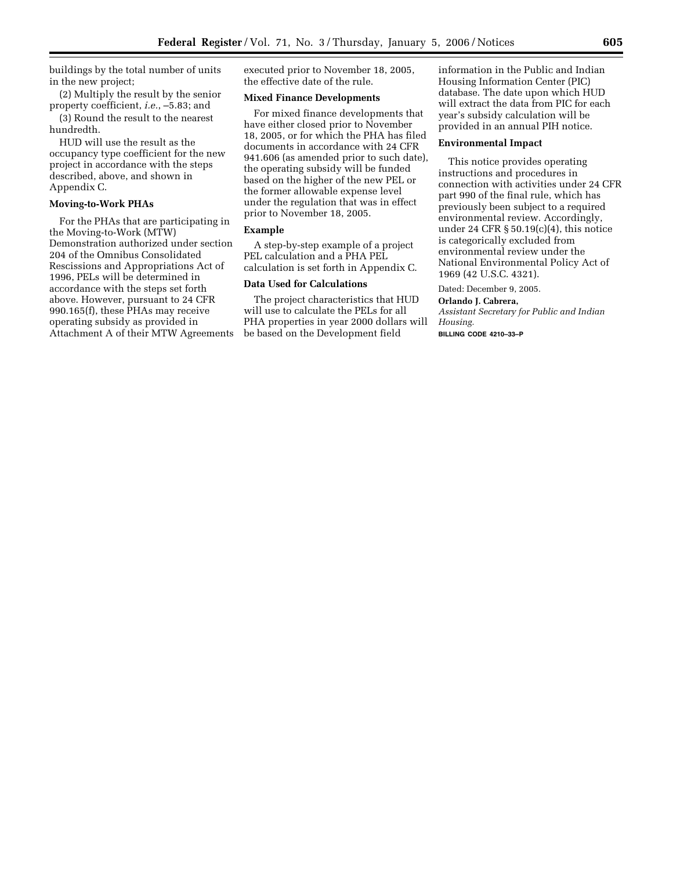buildings by the total number of units in the new project;

(2) Multiply the result by the senior property coefficient, *i.e.*, –5.83; and

(3) Round the result to the nearest hundredth.

HUD will use the result as the occupancy type coefficient for the new project in accordance with the steps described, above, and shown in Appendix C.

# **Moving-to-Work PHAs**

For the PHAs that are participating in the Moving-to-Work (MTW) Demonstration authorized under section 204 of the Omnibus Consolidated Rescissions and Appropriations Act of 1996, PELs will be determined in accordance with the steps set forth above. However, pursuant to 24 CFR 990.165(f), these PHAs may receive operating subsidy as provided in Attachment A of their MTW Agreements executed prior to November 18, 2005, the effective date of the rule.

## **Mixed Finance Developments**

For mixed finance developments that have either closed prior to November 18, 2005, or for which the PHA has filed documents in accordance with 24 CFR 941.606 (as amended prior to such date), the operating subsidy will be funded based on the higher of the new PEL or the former allowable expense level under the regulation that was in effect prior to November 18, 2005.

## **Example**

A step-by-step example of a project PEL calculation and a PHA PEL calculation is set forth in Appendix C.

#### **Data Used for Calculations**

The project characteristics that HUD will use to calculate the PELs for all PHA properties in year 2000 dollars will be based on the Development field

information in the Public and Indian Housing Information Center (PIC) database. The date upon which HUD will extract the data from PIC for each year's subsidy calculation will be provided in an annual PIH notice.

### **Environmental Impact**

This notice provides operating instructions and procedures in connection with activities under 24 CFR part 990 of the final rule, which has previously been subject to a required environmental review. Accordingly, under 24 CFR  $\S 50.19(c)(4)$ , this notice is categorically excluded from environmental review under the National Environmental Policy Act of 1969 (42 U.S.C. 4321).

Dated: December 9, 2005.

# **Orlando J. Cabrera,**

*Assistant Secretary for Public and Indian Housing.* 

**BILLING CODE 4210–33–P**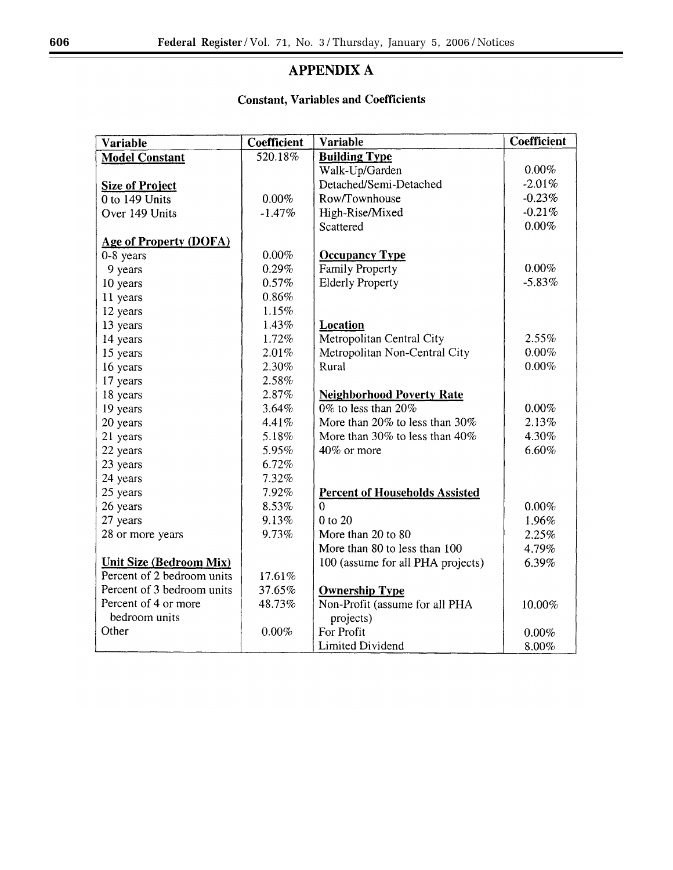eri

# **APPENDIX A**

# **Constant, Variables and Coefficients**

| <b>Variable</b>                | Coefficient | <b>Variable</b>                       | <b>Coefficient</b> |
|--------------------------------|-------------|---------------------------------------|--------------------|
| <b>Model Constant</b>          | 520.18%     | <b>Building Type</b>                  |                    |
|                                |             | Walk-Up/Garden                        | $0.00\%$           |
| <b>Size of Project</b>         |             | Detached/Semi-Detached                | $-2.01%$           |
| 0 to 149 Units                 | 0.00%       | Row/Townhouse                         | $-0.23%$           |
| Over 149 Units                 | $-1.47%$    | High-Rise/Mixed                       | $-0.21%$           |
|                                |             | Scattered                             | 0.00%              |
| <b>Age of Property (DOFA)</b>  |             |                                       |                    |
| $0-8$ years                    | 0.00%       | <b>Occupancy Type</b>                 |                    |
| 9 years                        | 0.29%       | <b>Family Property</b>                | 0.00%              |
| 10 years                       | 0.57%       | <b>Elderly Property</b>               | $-5.83%$           |
| 11 years                       | 0.86%       |                                       |                    |
| 12 years                       | 1.15%       |                                       |                    |
| 13 years                       | 1.43%       | Location                              |                    |
| 14 years                       | 1.72%       | Metropolitan Central City             | 2.55%              |
| 15 years                       | 2.01%       | Metropolitan Non-Central City         | $0.00\%$           |
| 16 years                       | 2.30%       | Rural                                 | $0.00\%$           |
| 17 years                       | 2.58%       |                                       |                    |
| 18 years                       | 2.87%       | <b>Neighborhood Poverty Rate</b>      |                    |
| 19 years                       | 3.64%       | $0\%$ to less than $20\%$             | 0.00%              |
| 20 years                       | 4.41%       | More than 20% to less than 30%        | 2.13%              |
| 21 years                       | 5.18%       | More than 30% to less than 40%        | 4.30%              |
| 22 years                       | 5.95%       | 40% or more                           | 6.60%              |
| 23 years                       | 6.72%       |                                       |                    |
| 24 years                       | 7.32%       |                                       |                    |
| 25 years                       | 7.92%       | <b>Percent of Households Assisted</b> |                    |
| 26 years                       | 8.53%       | $\Omega$                              | $0.00\%$           |
| 27 years                       | 9.13%       | 0 to 20                               | 1.96%              |
| 28 or more years               | 9.73%       | More than 20 to 80                    | 2.25%              |
|                                |             | More than 80 to less than 100         | 4.79%              |
| <b>Unit Size (Bedroom Mix)</b> |             | 100 (assume for all PHA projects)     | 6.39%              |
| Percent of 2 bedroom units     | 17.61%      |                                       |                    |
| Percent of 3 bedroom units     | 37.65%      | <b>Ownership Type</b>                 |                    |
| Percent of 4 or more           | 48.73%      | Non-Profit (assume for all PHA        | 10.00%             |
| bedroom units                  |             | projects)                             |                    |
| Other                          | 0.00%       | For Profit                            | 0.00%              |
|                                |             | Limited Dividend                      | 8.00%              |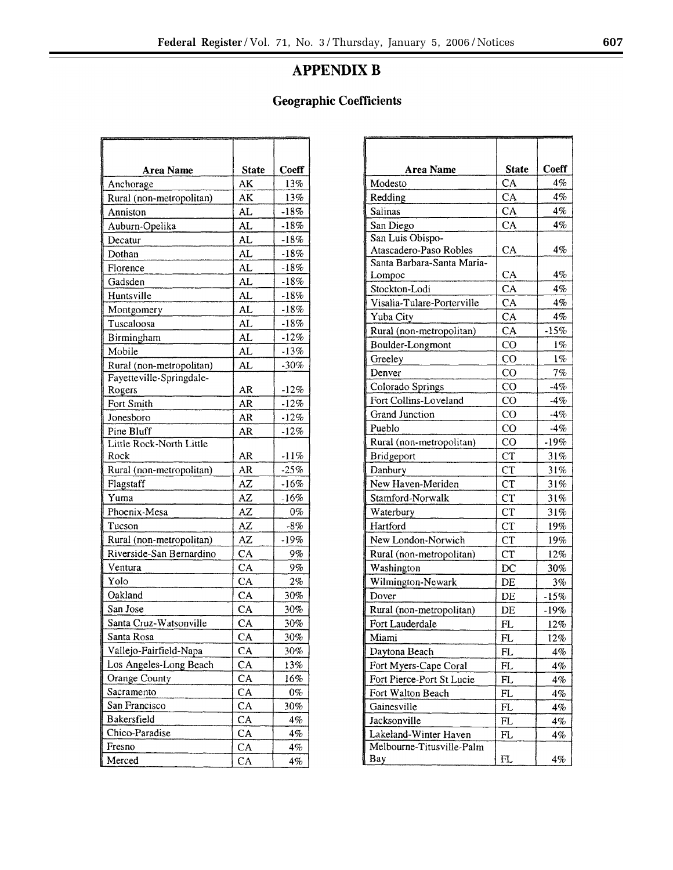# **APPENDIX B**

# **Geographic Coefficients**

| <b>Area Name</b>         | <b>State</b> | Coeff  |
|--------------------------|--------------|--------|
| Anchorage                | AK           | 13%    |
| Rural (non-metropolitan) | AK           | 13%    |
| Anniston                 | AL           | $-18%$ |
| Auburn-Opelika           | AL           | $-18%$ |
| Decatur                  | AL           | $-18%$ |
| Dothan                   | AL           | $-18%$ |
| Florence                 | AL           | $-18%$ |
| Gadsden                  | AL           | $-18%$ |
| Huntsville               | AL           | $-18%$ |
| Montgomery               | AL           | $-18%$ |
| Tuscaloosa               | AL           | $-18%$ |
| Birmingham               | AL           | $-12%$ |
| Mobile                   | AL           | -13%   |
| Rural (non-metropolitan) | AL           | $-30%$ |
| Fayetteville-Springdale- |              |        |
| Rogers                   | AR           | $-12%$ |
| Fort Smith               | AR           | $-12%$ |
| Jonesboro                | AR           | $-12%$ |
| Pine Bluff               | AR           | $-12%$ |
| Little Rock-North Little |              |        |
| Rock                     | AR           | $-11%$ |
| Rural (non-metropolitan) | AR           | $-25%$ |
| Flagstaff                | AZ           | $-16%$ |
| Yuma                     | AZ           | $-16%$ |
| Phoenix-Mesa             | AZ           | $0\%$  |
| Tucson                   | AZ           | -8%    |
| Rural (non-metropolitan) | <b>AZ</b>    | $-19%$ |
| Riverside-San Bernardino | CA           | 9%     |
| Ventura                  | CA           | 9%     |
| Yolo                     | CA           | 2%     |
| Oakland                  | CA           | 30%    |
| San Jose                 | CA           | 30%    |
| Santa Cruz-Watsonville   | CA           | 30%    |
| Santa Rosa               | CA           | 30%    |
| Vallejo-Fairfield-Napa   | CA           | 30%    |
| Los Angeles-Long Beach   | CA           | 13%    |
| Orange County            | CA           | 16%    |
| Sacramento               | CA           | 0%     |
| San Francisco            | CA           | 30%    |
| Bakersfield              | CA           | 4%     |
| Chico-Paradise           | CA           | 4%     |
| Fresno                   | CA           | $4\%$  |
| Merced                   | CA           | $4\%$  |

| <b>Area Name</b>           | <b>State</b> | <b>Coeff</b> |
|----------------------------|--------------|--------------|
| Modesto                    | CA           | 4%           |
| Redding                    | CA           | 4%           |
| <b>Salinas</b>             | CA           | 4%           |
| San Diego                  | CA           | 4%           |
| San Luis Obispo-           |              |              |
| Atascadero-Paso Robles     | CA           | 4%           |
| Santa Barbara-Santa Maria- |              |              |
| Lompoc                     | CA           | 4%           |
| Stockton-Lodi              | CA           | $4\%$        |
| Visalia-Tulare-Porterville | CA           | 4%           |
| Yuba City                  | CA           | 4%           |
| Rural (non-metropolitan)   | CA           | $-15%$       |
| Boulder-Longmont           | CO           | 1%           |
| Greeley                    | $\rm CO$     | $1\%$        |
| Denver                     | $_{\rm CO}$  | 7%           |
| Colorado Springs           | CO           | $-4\%$       |
| Fort Collins-Loveland      | $_{\rm CO}$  | $-4%$        |
| <b>Grand Junction</b>      | CO           | $-4%$        |
| Pueblo                     | $_{\rm CO}$  | $-4%$        |
| Rural (non-metropolitan)   | CO           | $-19%$       |
| Bridgeport                 | <b>CT</b>    | 31%          |
| Danbury                    | CT           | 31%          |
| New Haven-Meriden          | CT           | 31%          |
| Stamford-Norwalk           | <b>CT</b>    | 31%          |
| Waterbury                  | <b>CT</b>    | 31%          |
| Hartford                   | <b>CT</b>    | 19%          |
| New London-Norwich         | <b>CT</b>    | 19%          |
| Rural (non-metropolitan)   | <b>CT</b>    | 12%          |
| Washington                 | $_{\rm DC}$  | 30%          |
| Wilmington-Newark          | DE           | 3%           |
| Dover                      | DE           | $-15%$       |
| Rural (non-metropolitan)   | DE           | $-19%$       |
| Fort Lauderdale            | FL           | 12%          |
| Miami                      | FL           | 12%          |
| Daytona Beach              | FL           | 4%           |
| Fort Myers-Cape Coral      | FL           | 4%           |
| Fort Pierce-Port St Lucie  | FL           | 4%           |
| Fort Walton Beach          | FL           | 4%           |
| Gainesville                | $_{\rm FL}$  | 4%           |
| Jacksonville               | $_{\rm FL}$  | 4%           |
| Lakeland-Winter Haven      | FL           | 4%           |
| Melbourne-Titusville-Palm  |              |              |
| Bay                        | FL           | 4%           |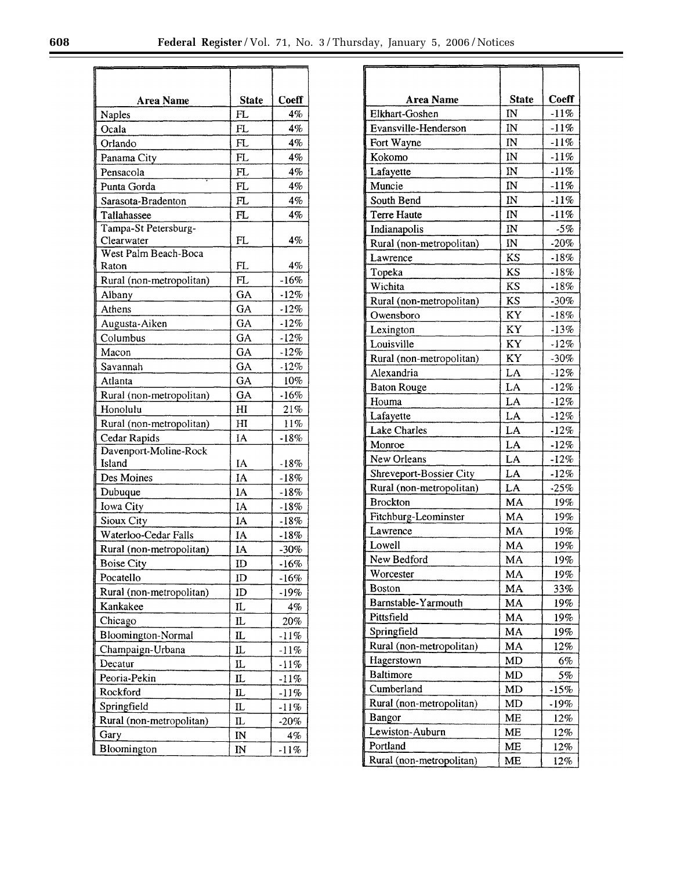| Area Name                 | <b>State</b>   | Coeff   |
|---------------------------|----------------|---------|
| <b>Naples</b>             | FL             | 4%      |
| Ocala                     | FL             | 4%      |
| Orlando                   | FL             | $4\%$   |
| Panama City               | FL             | 4%      |
| Pensacola                 | FL             | 4%      |
| Punta Gorda               | FL             | 4%      |
| Sarasota-Bradenton        | FL             | 4%      |
| Tallahassee               | FL             | 4%      |
| Tampa-St Petersburg-      |                |         |
| Clearwater                | FL             | 4%      |
| West Palm Beach-Boca      |                |         |
| Raton                     | FL             | 4%      |
| Rural (non-metropolitan)  | FL             | $-16%$  |
| Albany                    | GA             | $-12%$  |
| Athens                    | GA             | $-12%$  |
| Augusta-Aiken             | GA             | $-12%$  |
| Columbus                  | GA             | $-12%$  |
| Macon                     | GA             | $-12%$  |
| Savannah                  | GA             | $-12%$  |
| Atlanta                   | GA             | 10%     |
| Rural (non-metropolitan)  | GA             | $-16%$  |
| Honolulu                  | H <sub>I</sub> | 21%     |
| Rural (non-metropolitan)  | H1             | 11%     |
| Cedar Rapids              | IA             | $-18%$  |
| Davenport-Moline-Rock     |                |         |
| Island                    | IA             | $-18%$  |
| Des Moines                | IA             | $-18%$  |
| Dubuque                   | IA             | $-18%$  |
| Iowa City                 | IA             | $-18%$  |
| Sioux City                | IA             | $-18%$  |
| Waterloo-Cedar Falls      | IA             | $-18%$  |
| Rural (non-metropolitan)  | IA             | $-30%$  |
| Boise City                | ID             | $-16%$  |
| Pocatello                 | ID             | $-16%$  |
| Rural (non-metropolitan)  | ID             | -19%    |
| Kankakee                  | IL             | 4%      |
| Chicago                   | IL             | 20%     |
| <b>Bloomington-Normal</b> | Ш              | $-11\%$ |
| Champaign-Urbana          | $\mathbf L$    | -11%    |
| Decatur                   | IL             | $-11%$  |
| Peoria-Pekin              | IL             | -11%    |
| Rockford                  | π.             | -11%    |
| Springfield               | IL             | $-11%$  |
| Rural (non-metropolitan)  | IL             | $-20%$  |
| Gary                      | IN             | 4%      |
| Bloomington               | IN             | $-11%$  |
|                           |                |         |

| Area Name                | <b>State</b>           | Coeff  |
|--------------------------|------------------------|--------|
| Elkhart-Goshen           | IN                     | $-11%$ |
| Evansville-Henderson     | IN                     | $-11%$ |
| Fort Wayne               | IN                     | $-11%$ |
| Kokomo                   | IN                     | $-11%$ |
| Lafayette                | $\mathbb{N}$           | $-11%$ |
| Muncie                   | IN                     | $-11%$ |
| South Bend               | IN                     | $-11%$ |
| <b>Terre Haute</b>       | IN                     | $-11%$ |
| Indianapolis             | $\overline{\text{IN}}$ | $-5%$  |
| Rural (non-metropolitan) | $I\!N$                 | $-20%$ |
| Lawrence                 | KS                     | $-18%$ |
| Topeka                   | KS                     | $-18%$ |
| Wichita                  | KS                     | $-18%$ |
| Rural (non-metropolitan) | <b>KS</b>              | $-30%$ |
| Owensboro                | KY                     | $-18%$ |
| Lexington                | KY                     | $-13%$ |
| Louisville               | KY                     | $-12%$ |
| Rural (non-metropolitan) | KY                     | $-30%$ |
| Alexandria               | LA                     | $-12%$ |
| <b>Baton Rouge</b>       | LA                     | $-12%$ |
| Houma                    | LA                     | $-12%$ |
| Lafayette                | LA                     | $-12%$ |
| <b>Lake Charles</b>      | LA                     | $-12%$ |
| Monroe                   | LA                     | $-12%$ |
| New Orleans              | LA                     | $-12%$ |
| Shreveport-Bossier City  | LA                     | $-12%$ |
| Rural (non-metropolitan) | LA                     | $-25%$ |
| <b>Brockton</b>          | MA                     | 19%    |
| Fitchburg-Leominster     | MA                     | 19%    |
| Lawrence                 | MA                     | 19%    |
| Lowell                   | MA                     | 19%    |
| New Bedford              | MA                     | 19%    |
| Worcester                | MA                     | 19%    |
| <b>Boston</b>            | MA                     | 33%    |
| Barnstable-Yarmouth      | MA                     | 19%    |
| Pittsfield               | MA                     | 19%    |
| Springfield              | MA                     | 19%    |
| Rural (non-metropolitan) | MA                     | 12%    |
| Hagerstown               | MD                     | 6%     |
| <b>Baltimore</b>         | <b>MD</b>              | 5%     |
| Cumberland               | MD                     | $-15%$ |
| Rural (non-metropolitan) | MD                     | -19%   |
| <b>Bangor</b>            | ME                     | 12%    |
| Lewiston-Auburn          | ME                     | 12%    |
| Portland                 | ME                     | 12%    |
| Rural (non-metropolitan) | ME                     | 12%    |

r.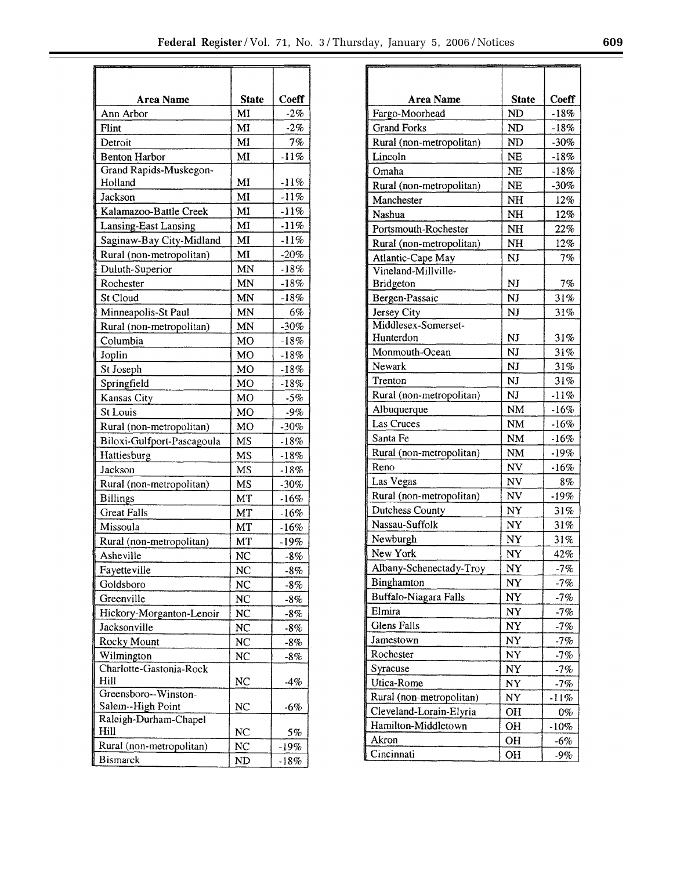| Area Name                  | <b>State</b>   | Coeff  |
|----------------------------|----------------|--------|
| Ann Arbor                  | MI             | $-2%$  |
| Flint                      | MI             | $-2%$  |
| Detroit                    | MI             | 7%     |
| <b>Benton Harbor</b>       | MI             | $-11%$ |
| Grand Rapids-Muskegon-     |                |        |
| Holland                    | MI             | $-11%$ |
| Jackson                    | MI             | $-11%$ |
| Kalamazoo-Battle Creek     | MI             | $-11%$ |
| Lansing-East Lansing       | MI             | $-11%$ |
| Saginaw-Bay City-Midland   | MI             | $-11%$ |
| Rural (non-metropolitan)   | MI             | $-20%$ |
| Duluth-Superior            | MN             | $-18%$ |
| Rochester                  | MN             | $-18%$ |
| St Cloud                   | MN             | $-18%$ |
| Minneapolis-St Paul        | MN             | 6%     |
| Rural (non-metropolitan)   | MN             | $-30%$ |
| Columbia                   | MО             | $-18%$ |
| Joplin                     | MO             | $-18%$ |
| St Joseph                  | МO             | $-18%$ |
| Springfield                | MО             | $-18%$ |
| Kansas City                | MO             | $-5%$  |
| <b>St Louis</b>            | MO             | $-9\%$ |
| Rural (non-metropolitan)   | MO             | $-30%$ |
| Biloxi-Gulfport-Pascagoula | MS             | $-18%$ |
| Hattiesburg                | MS             | $-18%$ |
| Jackson                    | MS             | $-18%$ |
| Rural (non-metropolitan)   | MS             | $-30%$ |
| <b>Billings</b>            | MT             | $-16%$ |
| <b>Great Falls</b>         | MT             | $-16%$ |
| Missoula                   | MT             | $-16%$ |
| Rural (non-metropolitan)   | МT             | $-19%$ |
| Asheville                  | NC             | $-8%$  |
| Fayetteville               | NC             | -8%    |
| Goldsboro                  | NC             | -8%    |
| Greenville                 | NC             | $-8\%$ |
| Hickory-Morganton-Lenoir   | NC             | -8%    |
| Jacksonville               | NC             | $-8%$  |
| Rocky Mount                | N <sub>C</sub> | -8%    |
| Wilmington                 | <b>NC</b>      | $-8\%$ |
| Charlotte-Gastonia-Rock    |                |        |
| Hill                       | NC             | -4%    |
| Greensboro--Winston-       |                |        |
| Salem--High Point          | NC             | $-6%$  |
| Raleigh-Durham-Chapel      |                |        |
| Hill                       | NC             | 5%     |
| Rural (non-metropolitan)   | NC             | $-19%$ |
| <b>Bismarck</b>            | ND             | $-18%$ |

| Coeff<br><b>Area Name</b><br><b>State</b><br>Fargo-Moorhead<br>ND<br>$-18%$<br><b>Grand Forks</b><br>ND<br>$-18%$<br><b>ND</b><br>Rural (non-metropolitan)<br>$-30\%$<br>Lincoln<br><b>NE</b><br>$-18%$<br>Omaha<br>NE<br>$-18%$<br><b>NE</b><br>Rural (non-metropolitan)<br>$-30\%$<br>12%<br>Manchester<br><b>NH</b><br>Nashua<br>12%<br><b>NH</b><br>Portsmouth-Rochester<br>NH<br>22%<br>Rural (non-metropolitan)<br>12%<br>NH<br>7%<br>Atlantic-Cape May<br>NJ<br>Vineland-Millville-<br><b>Bridgeton</b><br>NJ<br>7%<br>Bergen-Passaic<br>NJ<br>31%<br>Jersey City<br>NJ<br>31%<br>Middlesex-Somerset-<br>Hunterdon<br>NJ<br>31%<br>NJ<br>31%<br>Monmouth-Ocean<br>NJ<br>Newark<br>31%<br>Trenton<br>NJ<br>31%<br>Rural (non-metropolitan)<br>NJ<br>$-11%$<br>Albuquerque<br>NM<br>$-16%$<br><b>Las Cruces</b><br>NM<br>$-16%$<br>Santa Fe<br>$-16%$<br>NM<br>Rural (non-metropolitan)<br>NM<br>$-19%$<br>Reno<br>NV<br>$-16%$<br>Las Vegas<br>NV<br>8%<br>Rural (non-metropolitan)<br>NV<br>$-19%$<br>Dutchess County<br>NY<br>31%<br>Nassau-Suffolk<br>NY<br>31%<br>Newburgh<br>NY<br>31%<br>New York<br>NY<br>42%<br>Albany-Schenectady-Troy<br>NY<br>$-7%$<br>Binghamton<br>NY<br>$-7%$<br>Buffalo-Niagara Falls<br>NY<br>$-7%$<br>Elmira<br>NY<br>$-7%$<br><b>Glens Falls</b><br>NY<br>-7%<br>Jamestown<br>NY<br>$-7%$<br>Rochester<br>NY<br>$-7%$<br>Syracuse<br>$-7%$<br>NY<br>Utica-Rome<br>NY<br>$-7%$<br>Rural (non-metropolitan)<br>NY<br>$-11%$<br>Cleveland-Lorain-Elyria<br>OН<br>0%<br>Hamilton-Middletown<br>OH<br>$-10%$<br>Akron<br>OH<br>$-6%$<br>Cincinnati<br><b>OH</b><br>-9% |  |  |
|-----------------------------------------------------------------------------------------------------------------------------------------------------------------------------------------------------------------------------------------------------------------------------------------------------------------------------------------------------------------------------------------------------------------------------------------------------------------------------------------------------------------------------------------------------------------------------------------------------------------------------------------------------------------------------------------------------------------------------------------------------------------------------------------------------------------------------------------------------------------------------------------------------------------------------------------------------------------------------------------------------------------------------------------------------------------------------------------------------------------------------------------------------------------------------------------------------------------------------------------------------------------------------------------------------------------------------------------------------------------------------------------------------------------------------------------------------------------------------------------------------------------------------------------------------------------------------------------------------------|--|--|
|                                                                                                                                                                                                                                                                                                                                                                                                                                                                                                                                                                                                                                                                                                                                                                                                                                                                                                                                                                                                                                                                                                                                                                                                                                                                                                                                                                                                                                                                                                                                                                                                           |  |  |
|                                                                                                                                                                                                                                                                                                                                                                                                                                                                                                                                                                                                                                                                                                                                                                                                                                                                                                                                                                                                                                                                                                                                                                                                                                                                                                                                                                                                                                                                                                                                                                                                           |  |  |
|                                                                                                                                                                                                                                                                                                                                                                                                                                                                                                                                                                                                                                                                                                                                                                                                                                                                                                                                                                                                                                                                                                                                                                                                                                                                                                                                                                                                                                                                                                                                                                                                           |  |  |
|                                                                                                                                                                                                                                                                                                                                                                                                                                                                                                                                                                                                                                                                                                                                                                                                                                                                                                                                                                                                                                                                                                                                                                                                                                                                                                                                                                                                                                                                                                                                                                                                           |  |  |
|                                                                                                                                                                                                                                                                                                                                                                                                                                                                                                                                                                                                                                                                                                                                                                                                                                                                                                                                                                                                                                                                                                                                                                                                                                                                                                                                                                                                                                                                                                                                                                                                           |  |  |
|                                                                                                                                                                                                                                                                                                                                                                                                                                                                                                                                                                                                                                                                                                                                                                                                                                                                                                                                                                                                                                                                                                                                                                                                                                                                                                                                                                                                                                                                                                                                                                                                           |  |  |
|                                                                                                                                                                                                                                                                                                                                                                                                                                                                                                                                                                                                                                                                                                                                                                                                                                                                                                                                                                                                                                                                                                                                                                                                                                                                                                                                                                                                                                                                                                                                                                                                           |  |  |
|                                                                                                                                                                                                                                                                                                                                                                                                                                                                                                                                                                                                                                                                                                                                                                                                                                                                                                                                                                                                                                                                                                                                                                                                                                                                                                                                                                                                                                                                                                                                                                                                           |  |  |
|                                                                                                                                                                                                                                                                                                                                                                                                                                                                                                                                                                                                                                                                                                                                                                                                                                                                                                                                                                                                                                                                                                                                                                                                                                                                                                                                                                                                                                                                                                                                                                                                           |  |  |
|                                                                                                                                                                                                                                                                                                                                                                                                                                                                                                                                                                                                                                                                                                                                                                                                                                                                                                                                                                                                                                                                                                                                                                                                                                                                                                                                                                                                                                                                                                                                                                                                           |  |  |
|                                                                                                                                                                                                                                                                                                                                                                                                                                                                                                                                                                                                                                                                                                                                                                                                                                                                                                                                                                                                                                                                                                                                                                                                                                                                                                                                                                                                                                                                                                                                                                                                           |  |  |
|                                                                                                                                                                                                                                                                                                                                                                                                                                                                                                                                                                                                                                                                                                                                                                                                                                                                                                                                                                                                                                                                                                                                                                                                                                                                                                                                                                                                                                                                                                                                                                                                           |  |  |
|                                                                                                                                                                                                                                                                                                                                                                                                                                                                                                                                                                                                                                                                                                                                                                                                                                                                                                                                                                                                                                                                                                                                                                                                                                                                                                                                                                                                                                                                                                                                                                                                           |  |  |
|                                                                                                                                                                                                                                                                                                                                                                                                                                                                                                                                                                                                                                                                                                                                                                                                                                                                                                                                                                                                                                                                                                                                                                                                                                                                                                                                                                                                                                                                                                                                                                                                           |  |  |
|                                                                                                                                                                                                                                                                                                                                                                                                                                                                                                                                                                                                                                                                                                                                                                                                                                                                                                                                                                                                                                                                                                                                                                                                                                                                                                                                                                                                                                                                                                                                                                                                           |  |  |
|                                                                                                                                                                                                                                                                                                                                                                                                                                                                                                                                                                                                                                                                                                                                                                                                                                                                                                                                                                                                                                                                                                                                                                                                                                                                                                                                                                                                                                                                                                                                                                                                           |  |  |
|                                                                                                                                                                                                                                                                                                                                                                                                                                                                                                                                                                                                                                                                                                                                                                                                                                                                                                                                                                                                                                                                                                                                                                                                                                                                                                                                                                                                                                                                                                                                                                                                           |  |  |
|                                                                                                                                                                                                                                                                                                                                                                                                                                                                                                                                                                                                                                                                                                                                                                                                                                                                                                                                                                                                                                                                                                                                                                                                                                                                                                                                                                                                                                                                                                                                                                                                           |  |  |
|                                                                                                                                                                                                                                                                                                                                                                                                                                                                                                                                                                                                                                                                                                                                                                                                                                                                                                                                                                                                                                                                                                                                                                                                                                                                                                                                                                                                                                                                                                                                                                                                           |  |  |
|                                                                                                                                                                                                                                                                                                                                                                                                                                                                                                                                                                                                                                                                                                                                                                                                                                                                                                                                                                                                                                                                                                                                                                                                                                                                                                                                                                                                                                                                                                                                                                                                           |  |  |
|                                                                                                                                                                                                                                                                                                                                                                                                                                                                                                                                                                                                                                                                                                                                                                                                                                                                                                                                                                                                                                                                                                                                                                                                                                                                                                                                                                                                                                                                                                                                                                                                           |  |  |
|                                                                                                                                                                                                                                                                                                                                                                                                                                                                                                                                                                                                                                                                                                                                                                                                                                                                                                                                                                                                                                                                                                                                                                                                                                                                                                                                                                                                                                                                                                                                                                                                           |  |  |
|                                                                                                                                                                                                                                                                                                                                                                                                                                                                                                                                                                                                                                                                                                                                                                                                                                                                                                                                                                                                                                                                                                                                                                                                                                                                                                                                                                                                                                                                                                                                                                                                           |  |  |
|                                                                                                                                                                                                                                                                                                                                                                                                                                                                                                                                                                                                                                                                                                                                                                                                                                                                                                                                                                                                                                                                                                                                                                                                                                                                                                                                                                                                                                                                                                                                                                                                           |  |  |
|                                                                                                                                                                                                                                                                                                                                                                                                                                                                                                                                                                                                                                                                                                                                                                                                                                                                                                                                                                                                                                                                                                                                                                                                                                                                                                                                                                                                                                                                                                                                                                                                           |  |  |
|                                                                                                                                                                                                                                                                                                                                                                                                                                                                                                                                                                                                                                                                                                                                                                                                                                                                                                                                                                                                                                                                                                                                                                                                                                                                                                                                                                                                                                                                                                                                                                                                           |  |  |
|                                                                                                                                                                                                                                                                                                                                                                                                                                                                                                                                                                                                                                                                                                                                                                                                                                                                                                                                                                                                                                                                                                                                                                                                                                                                                                                                                                                                                                                                                                                                                                                                           |  |  |
|                                                                                                                                                                                                                                                                                                                                                                                                                                                                                                                                                                                                                                                                                                                                                                                                                                                                                                                                                                                                                                                                                                                                                                                                                                                                                                                                                                                                                                                                                                                                                                                                           |  |  |
|                                                                                                                                                                                                                                                                                                                                                                                                                                                                                                                                                                                                                                                                                                                                                                                                                                                                                                                                                                                                                                                                                                                                                                                                                                                                                                                                                                                                                                                                                                                                                                                                           |  |  |
|                                                                                                                                                                                                                                                                                                                                                                                                                                                                                                                                                                                                                                                                                                                                                                                                                                                                                                                                                                                                                                                                                                                                                                                                                                                                                                                                                                                                                                                                                                                                                                                                           |  |  |
|                                                                                                                                                                                                                                                                                                                                                                                                                                                                                                                                                                                                                                                                                                                                                                                                                                                                                                                                                                                                                                                                                                                                                                                                                                                                                                                                                                                                                                                                                                                                                                                                           |  |  |
|                                                                                                                                                                                                                                                                                                                                                                                                                                                                                                                                                                                                                                                                                                                                                                                                                                                                                                                                                                                                                                                                                                                                                                                                                                                                                                                                                                                                                                                                                                                                                                                                           |  |  |
|                                                                                                                                                                                                                                                                                                                                                                                                                                                                                                                                                                                                                                                                                                                                                                                                                                                                                                                                                                                                                                                                                                                                                                                                                                                                                                                                                                                                                                                                                                                                                                                                           |  |  |
|                                                                                                                                                                                                                                                                                                                                                                                                                                                                                                                                                                                                                                                                                                                                                                                                                                                                                                                                                                                                                                                                                                                                                                                                                                                                                                                                                                                                                                                                                                                                                                                                           |  |  |
|                                                                                                                                                                                                                                                                                                                                                                                                                                                                                                                                                                                                                                                                                                                                                                                                                                                                                                                                                                                                                                                                                                                                                                                                                                                                                                                                                                                                                                                                                                                                                                                                           |  |  |
|                                                                                                                                                                                                                                                                                                                                                                                                                                                                                                                                                                                                                                                                                                                                                                                                                                                                                                                                                                                                                                                                                                                                                                                                                                                                                                                                                                                                                                                                                                                                                                                                           |  |  |
|                                                                                                                                                                                                                                                                                                                                                                                                                                                                                                                                                                                                                                                                                                                                                                                                                                                                                                                                                                                                                                                                                                                                                                                                                                                                                                                                                                                                                                                                                                                                                                                                           |  |  |
|                                                                                                                                                                                                                                                                                                                                                                                                                                                                                                                                                                                                                                                                                                                                                                                                                                                                                                                                                                                                                                                                                                                                                                                                                                                                                                                                                                                                                                                                                                                                                                                                           |  |  |
|                                                                                                                                                                                                                                                                                                                                                                                                                                                                                                                                                                                                                                                                                                                                                                                                                                                                                                                                                                                                                                                                                                                                                                                                                                                                                                                                                                                                                                                                                                                                                                                                           |  |  |
|                                                                                                                                                                                                                                                                                                                                                                                                                                                                                                                                                                                                                                                                                                                                                                                                                                                                                                                                                                                                                                                                                                                                                                                                                                                                                                                                                                                                                                                                                                                                                                                                           |  |  |
|                                                                                                                                                                                                                                                                                                                                                                                                                                                                                                                                                                                                                                                                                                                                                                                                                                                                                                                                                                                                                                                                                                                                                                                                                                                                                                                                                                                                                                                                                                                                                                                                           |  |  |
|                                                                                                                                                                                                                                                                                                                                                                                                                                                                                                                                                                                                                                                                                                                                                                                                                                                                                                                                                                                                                                                                                                                                                                                                                                                                                                                                                                                                                                                                                                                                                                                                           |  |  |
|                                                                                                                                                                                                                                                                                                                                                                                                                                                                                                                                                                                                                                                                                                                                                                                                                                                                                                                                                                                                                                                                                                                                                                                                                                                                                                                                                                                                                                                                                                                                                                                                           |  |  |
|                                                                                                                                                                                                                                                                                                                                                                                                                                                                                                                                                                                                                                                                                                                                                                                                                                                                                                                                                                                                                                                                                                                                                                                                                                                                                                                                                                                                                                                                                                                                                                                                           |  |  |
|                                                                                                                                                                                                                                                                                                                                                                                                                                                                                                                                                                                                                                                                                                                                                                                                                                                                                                                                                                                                                                                                                                                                                                                                                                                                                                                                                                                                                                                                                                                                                                                                           |  |  |
|                                                                                                                                                                                                                                                                                                                                                                                                                                                                                                                                                                                                                                                                                                                                                                                                                                                                                                                                                                                                                                                                                                                                                                                                                                                                                                                                                                                                                                                                                                                                                                                                           |  |  |
|                                                                                                                                                                                                                                                                                                                                                                                                                                                                                                                                                                                                                                                                                                                                                                                                                                                                                                                                                                                                                                                                                                                                                                                                                                                                                                                                                                                                                                                                                                                                                                                                           |  |  |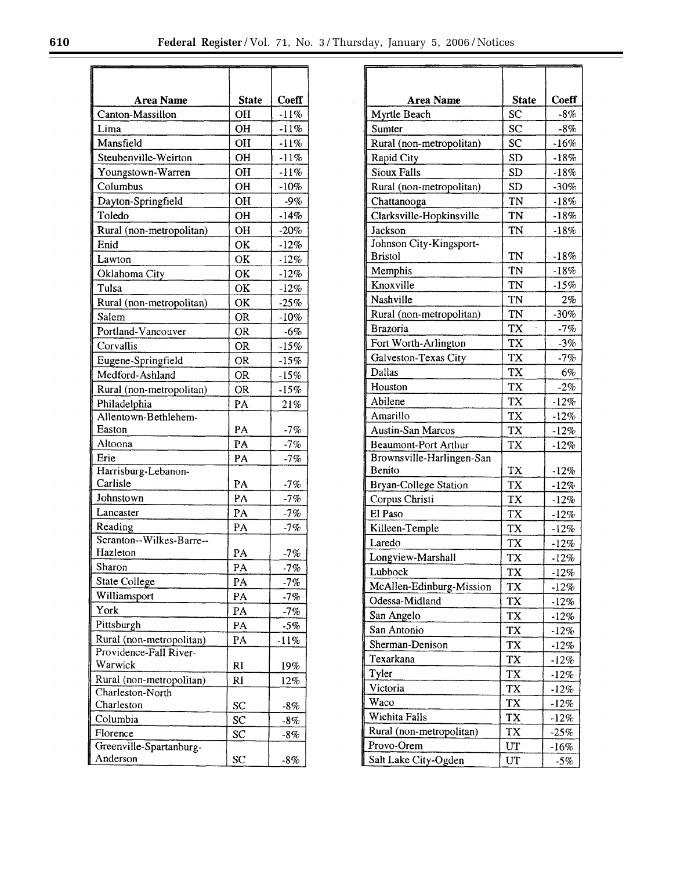| Area Name                | <b>State</b> | Coeff   |
|--------------------------|--------------|---------|
| Canton-Massillon         | OH           | $-11%$  |
| Lima                     | <b>OH</b>    | $-11%$  |
| Mansfield                | OH           | $-11%$  |
| Steubenville-Weirton     | OН           | $-11%$  |
| Youngstown-Warren        | OH           | $-11%$  |
| Columbus                 | OH           | $-10%$  |
| Dayton-Springfield       | OН           | $-9%$   |
| Toledo                   | OН           | $-14%$  |
|                          |              |         |
| Rural (non-metropolitan) | OН           | $-20%$  |
| Enid                     | OK           | $-12%$  |
| Lawton                   | OK           | $-12%$  |
| Oklahoma City            | OK           | $-12\%$ |
| Tulsa                    | OK           | $-12%$  |
| Rural (non-metropolitan) | OK           | $-25%$  |
| Salem                    | <b>OR</b>    | $-10%$  |
| Portland-Vancouver       | <b>OR</b>    | $-6%$   |
| Corvallis                | <b>OR</b>    | $-15%$  |
| Eugene-Springfield       | <b>OR</b>    | $-15%$  |
| Medford-Ashland          | OR           | $-15%$  |
| Rural (non-metropolitan) | <b>OR</b>    | $-15%$  |
| Philadelphia             | PA           |         |
| Allentown-Bethlehem-     |              | 21%     |
| Easton                   | PA           | $-7%$   |
| Altoona                  | PA           | $-7%$   |
| Erie                     | PA           | $-7%$   |
| Harrisburg-Lebanon-      |              |         |
| Carlisle                 | PA           | -7%     |
| Johnstown                | PA           | $-7%$   |
| Lancaster                | PA           | $-7%$   |
| Reading                  | PA           | $-7%$   |
| Scranton--Wilkes-Barre-- |              |         |
| Hazleton                 | PA           | $-7%$   |
| Sharon                   | PA           | $-7%$   |
| State College            | PA           |         |
|                          |              | $-7%$   |
| Williamsport             | PA           | $-7%$   |
| York                     | PA           | $-7%$   |
| Pittsburgh               | PA           | $-5%$   |
| Rural (non-metropolitan) | PA           | $-11%$  |
| Providence-Fall River-   |              |         |
| Warwick                  | RI           | 19%     |
| Rural (non-metropolitan) | RI           | 12%     |
| Charleston-North         |              |         |
| Charleston               | $_{\rm sc}$  | $-8\%$  |
| Columbia                 | SC           | $-8\%$  |
| Florence                 | SC           | $-8%$   |
| Greenville-Spartanburg-  |              |         |
| Anderson                 | SC           | $-8\%$  |

| Area Name                    | <b>State</b> | Coeff   |
|------------------------------|--------------|---------|
| Myrtle Beach                 | SC           | -8%     |
| Sumter                       | $_{\rm sc}$  | $-8%$   |
| Rural (non-metropolitan)     | SC           | $-16%$  |
| <b>Rapid City</b>            | <b>SD</b>    | $-18%$  |
| <b>Sioux Falls</b>           | <b>SD</b>    | $-18%$  |
| Rural (non-metropolitan)     | SD           | $-30%$  |
| Chattanooga                  | TN           | $-18%$  |
| Clarksville-Hopkinsville     | TN           | $-18%$  |
| Jackson                      | TN           | $-18%$  |
| Johnson City-Kingsport-      |              |         |
| <b>Bristol</b>               | TN           | $-18%$  |
| Memphis                      | TN           | -18%    |
| Knoxville                    | TN           | $-15%$  |
| Nashville                    | TN           | 2%      |
| Rural (non-metropolitan)     | TN           | $-30\%$ |
| <b>Brazoria</b>              | <b>TX</b>    | $-7%$   |
| Fort Worth-Arlington         | TX           | -3%     |
| Galveston-Texas City         | TX           | $-7%$   |
| Dallas                       | TX           | 6%      |
| Houston                      | TX           | $-2%$   |
| Abilene                      | TX           | $-12%$  |
| Amarillo                     | TX           | $-12%$  |
| <b>Austin-San Marcos</b>     | TX           | $-12%$  |
| <b>Beaumont-Port Arthur</b>  | <b>TX</b>    | $-12%$  |
| Brownsville-Harlingen-San    |              |         |
| Benito                       | TX           | $-12%$  |
| <b>Bryan-College Station</b> | TX           | $-12%$  |
| Corpus Christi               | TX           | $-12%$  |
| El Paso                      | <b>TX</b>    | $-12%$  |
| Killeen-Temple               | TX           | $-12%$  |
| Laredo                       | TX           | $-12%$  |
| Longview-Marshall            | TX           | 12%     |
| Lubbock                      | TX           | -12%    |
| McAllen-Edinburg-Mission     | TX           | -12%    |
| Odessa-Midland               | TX           | $-12\%$ |
| San Angelo                   | TX           | $-12%$  |
| San Antonio                  | TX           | $-12%$  |
| Sherman-Denison              | TX           | $-12\%$ |
| Texarkana                    | TX           | $-12\%$ |
| Tyler                        | TX           | $-12%$  |
| Victoria                     | TX           | $-12%$  |
| Waco                         | TX           | $-12%$  |
| Wichita Falls                | TX           | $-12%$  |
| Rural (non-metropolitan)     | TX           | $-25%$  |
| Provo-Orem                   | UT           | $-16%$  |
| Salt Lake City-Ogden         | UT           | $-5%$   |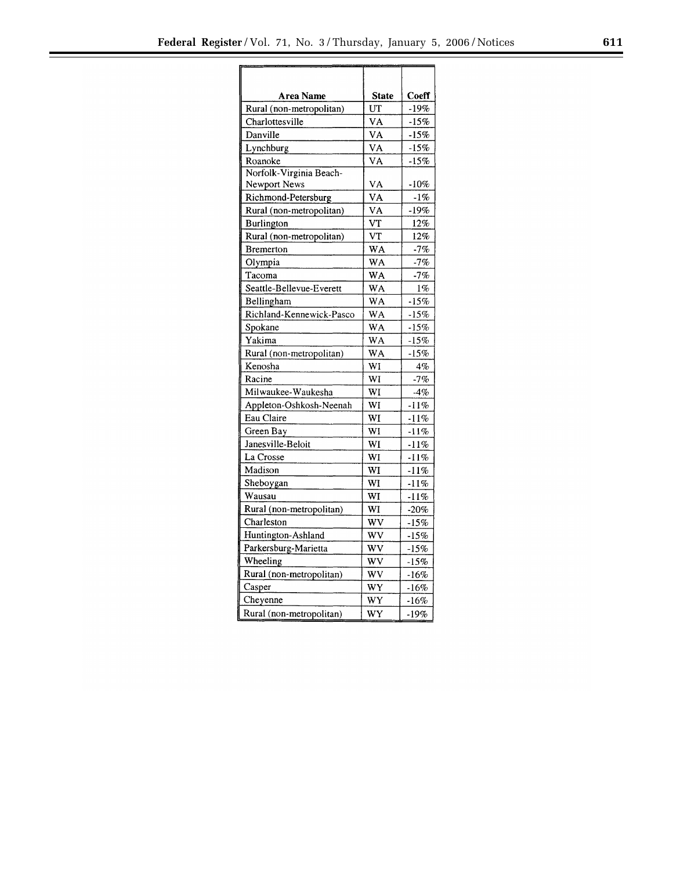| Area Name                | <b>State</b>   | Coeff   |
|--------------------------|----------------|---------|
| Rural (non-metropolitan) | UT             | $-19%$  |
| Charlottesville          | VA             | $-15%$  |
| Danville                 | VA             | $-15%$  |
| Lynchburg                | VA             | $-15%$  |
| Roanoke                  | VA             | $-15%$  |
| Norfolk-Virginia Beach-  |                |         |
| Newport News             | VA             | -10%    |
| Richmond-Petersburg      | VA             | $-1\%$  |
| Rural (non-metropolitan) | VA             | $-19%$  |
| <b>Burlington</b>        | VT             | 12%     |
| Rural (non-metropolitan) | V <sub>T</sub> | 12%     |
| <b>Bremerton</b>         | WA             | $-7%$   |
| Olympia                  | WA             | $-7%$   |
| Tacoma                   | WA             | $-7%$   |
| Seattle-Bellevue-Everett | WA             | $1\%$   |
| Bellingham               | WA             | $-15%$  |
| Richland-Kennewick-Pasco | <b>WA</b>      | $-15%$  |
| Spokane                  | .<br>WA        | $-15%$  |
| Yakima                   | WA             | $-15%$  |
| Rural (non-metropolitan) | WA             | $-15%$  |
| Kenosha                  | WI             | 4%      |
| Racine                   | WI             | $-7%$   |
| Milwaukee-Waukesha       | WI             | $-4%$   |
| Appleton-Oshkosh-Neenah  | WI             | $-11%$  |
| Eau Claire               | WI             | $-11%$  |
| Green Bay                | WI             | $-11%$  |
| Janesville-Beloit        | WI             | $-11%$  |
| La Crosse                | WI             | $-11%$  |
| Madison                  | WI             | $-11%$  |
| Sheboygan                | WI             | -11%    |
| Wausau                   | WI             | $-11%$  |
| Rural (non-metropolitan) | WI             | $-20\%$ |
| Charleston               | wv             | $-15%$  |
| Huntington-Ashland       | WV             | $-15%$  |
| Parkersburg-Marietta     | WV             | $-15%$  |
| Wheeling                 | WV             | $-15%$  |
| Rural (non-metropolitan) | WV             | $-16%$  |
| Casper                   | WY             | $-16%$  |
| Cheyenne                 | WY             | $-16%$  |
| Rural (non-metropolitan) | WY             | $-19%$  |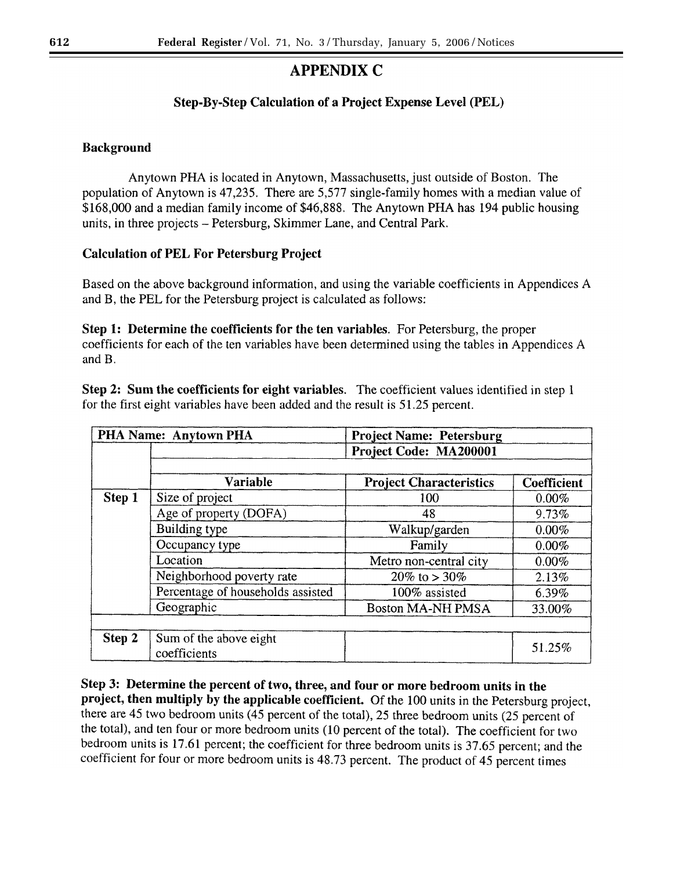# **APPENDIX C**

# Step-By-Step Calculation of a Project Expense Level (PEL)

# **Background**

Anytown PHA is located in Anytown, Massachusetts, just outside of Boston. The population of Anytown is 47,235. There are 5,577 single-family homes with a median value of \$168,000 and a median family income of \$46,888. The Anytown PHA has 194 public housing units, in three projects – Petersburg, Skimmer Lane, and Central Park.

# **Calculation of PEL For Petersburg Project**

Based on the above background information, and using the variable coefficients in Appendices A and B, the PEL for the Petersburg project is calculated as follows:

Step 1: Determine the coefficients for the ten variables. For Petersburg, the proper coefficients for each of the ten variables have been determined using the tables in Appendices A and B.

Step 2: Sum the coefficients for eight variables. The coefficient values identified in step 1 for the first eight variables have been added and the result is 51.25 percent.

| PHA Name: Anytown PHA<br><b>Project Name: Petersburg</b> |                                        |                                |                    |
|----------------------------------------------------------|----------------------------------------|--------------------------------|--------------------|
|                                                          |                                        | Project Code: MA200001         |                    |
|                                                          |                                        |                                |                    |
|                                                          | <b>Variable</b>                        | <b>Project Characteristics</b> | <b>Coefficient</b> |
| Step 1                                                   | Size of project                        | 100                            | $0.00\%$           |
|                                                          | Age of property (DOFA)                 | 48                             | 9.73%              |
|                                                          | Building type                          | Walkup/garden                  | $0.00\%$           |
|                                                          | Occupancy type                         | Family                         | 0.00%              |
|                                                          | Location                               | Metro non-central city         | $0.00\%$           |
|                                                          | Neighborhood poverty rate              | 20\% to > 30\%                 | 2.13%              |
|                                                          | Percentage of households assisted      | 100% assisted                  | 6.39%              |
|                                                          | Geographic                             | <b>Boston MA-NH PMSA</b>       | 33.00%             |
|                                                          |                                        |                                |                    |
| Step 2                                                   | Sum of the above eight<br>coefficients |                                | 51.25%             |

Step 3: Determine the percent of two, three, and four or more bedroom units in the project, then multiply by the applicable coefficient. Of the 100 units in the Petersburg project, there are 45 two bedroom units (45 percent of the total), 25 three bedroom units (25 percent of the total), and ten four or more bedroom units (10 percent of the total). The coefficient for two bedroom units is 17.61 percent; the coefficient for three bedroom units is 37.65 percent; and the coefficient for four or more bedroom units is 48.73 percent. The product of 45 percent times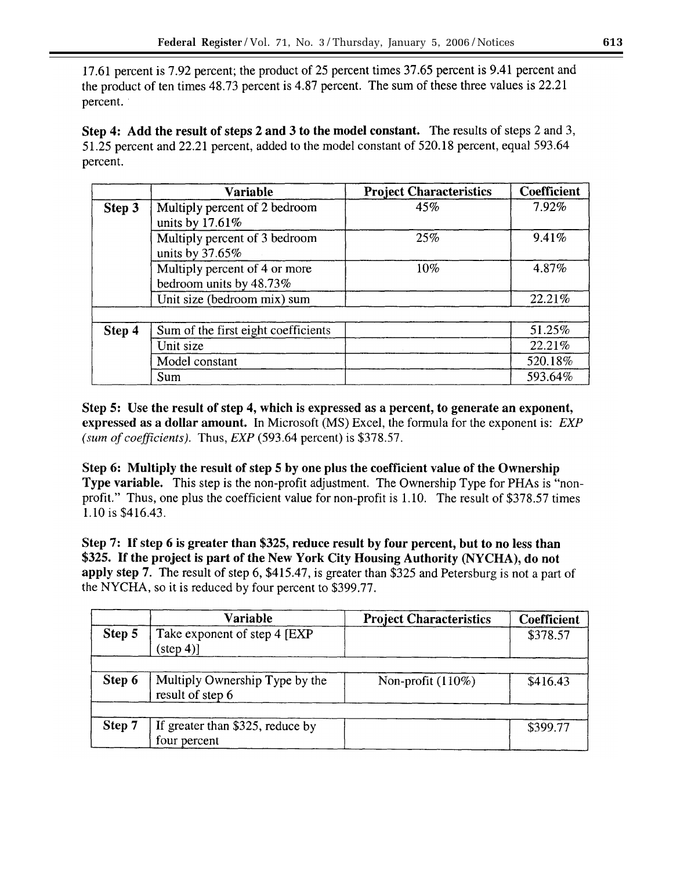17.61 percent is 7.92 percent; the product of 25 percent times 37.65 percent is 9.41 percent and the product of ten times 48.73 percent is 4.87 percent. The sum of these three values is 22.21 percent.

Step 4: Add the result of steps 2 and 3 to the model constant. The results of steps 2 and 3, 51.25 percent and 22.21 percent, added to the model constant of 520.18 percent, equal 593.64 percent.

|        | <b>Variable</b>                                          | <b>Project Characteristics</b> | Coefficient |
|--------|----------------------------------------------------------|--------------------------------|-------------|
| Step 3 | Multiply percent of 2 bedroom<br>units by 17.61%         | 45%                            | 7.92%       |
|        | Multiply percent of 3 bedroom<br>units by $37.65\%$      | 25%                            | 9.41%       |
|        | Multiply percent of 4 or more<br>bedroom units by 48.73% | 10%                            | 4.87%       |
|        | Unit size (bedroom mix) sum                              |                                | 22.21%      |
|        |                                                          |                                |             |
| Step 4 | Sum of the first eight coefficients                      |                                | 51.25%      |
|        | Unit size                                                |                                | 22.21%      |
|        | Model constant                                           |                                | 520.18%     |
|        | Sum                                                      |                                | 593.64%     |

Step 5: Use the result of step 4, which is expressed as a percent, to generate an exponent, expressed as a dollar amount. In Microsoft (MS) Excel, the formula for the exponent is: EXP (sum of coefficients). Thus,  $EXP$  (593.64 percent) is \$378.57.

Step 6: Multiply the result of step 5 by one plus the coefficient value of the Ownership Type variable. This step is the non-profit adjustment. The Ownership Type for PHAs is "nonprofit." Thus, one plus the coefficient value for non-profit is 1.10. The result of \$378.57 times 1.10 is \$416.43.

Step 7: If step 6 is greater than \$325, reduce result by four percent, but to no less than \$325. If the project is part of the New York City Housing Authority (NYCHA), do not apply step 7. The result of step 6, \$415.47, is greater than \$325 and Petersburg is not a part of the NYCHA, so it is reduced by four percent to \$399.77.

|        | <b>Variable</b>                                     | <b>Project Characteristics</b> | Coefficient |
|--------|-----------------------------------------------------|--------------------------------|-------------|
| Step 5 | Take exponent of step 4 [EXP]<br>$(\text{step } 4)$ |                                | \$378.57    |
| Step 6 | Multiply Ownership Type by the<br>result of step 6  | Non-profit $(110\%)$           | \$416.43    |
| Step 7 | If greater than \$325, reduce by<br>four percent    |                                | \$399.77    |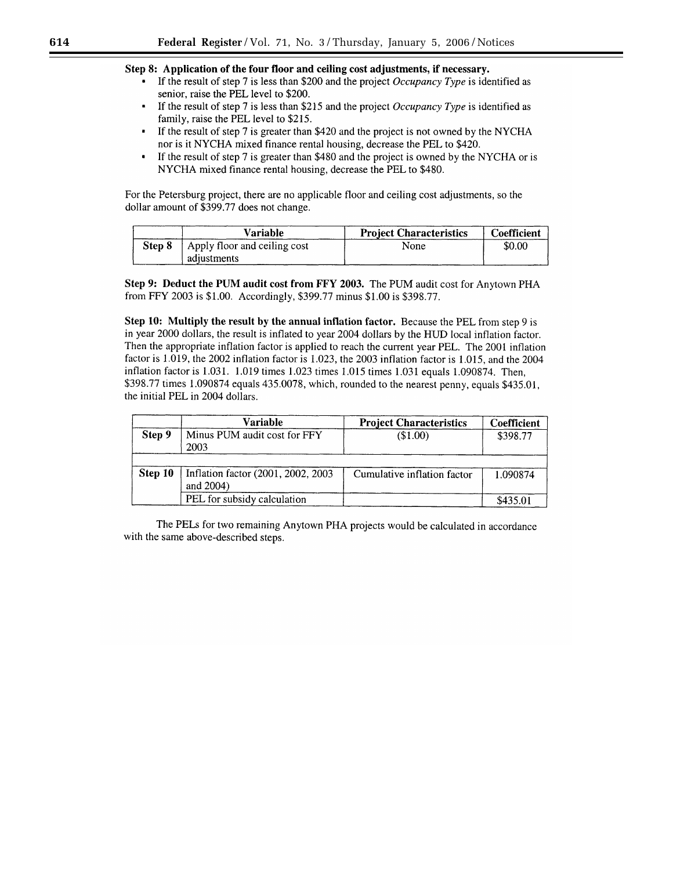# Step 8: Application of the four floor and ceiling cost adjustments, if necessary.

- If the result of step 7 is less than \$200 and the project *Occupancy Type* is identified as senior, raise the PEL level to \$200.
- $\blacksquare$ If the result of step 7 is less than \$215 and the project Occupancy Type is identified as family, raise the PEL level to \$215.
- If the result of step 7 is greater than \$420 and the project is not owned by the NYCHA nor is it NYCHA mixed finance rental housing, decrease the PEL to \$420.
- If the result of step 7 is greater than \$480 and the project is owned by the NYCHA or is  $\bullet$ NYCHA mixed finance rental housing, decrease the PEL to \$480.

For the Petersburg project, there are no applicable floor and ceiling cost adjustments, so the dollar amount of \$399.77 does not change.

|        | Variable                     | <b>Project Characteristics</b> | Coefficient |
|--------|------------------------------|--------------------------------|-------------|
| Step 8 | Apply floor and ceiling cost | None                           | \$0.00      |
|        | adjustments                  |                                |             |

Step 9: Deduct the PUM audit cost from FFY 2003. The PUM audit cost for Anytown PHA from FFY 2003 is \$1.00. Accordingly, \$399.77 minus \$1.00 is \$398.77.

Step 10: Multiply the result by the annual inflation factor. Because the PEL from step 9 is in year 2000 dollars, the result is inflated to year 2004 dollars by the HUD local inflation factor. Then the appropriate inflation factor is applied to reach the current year PEL. The 2001 inflation factor is 1.019, the 2002 inflation factor is 1.023, the 2003 inflation factor is 1.015, and the 2004 inflation factor is 1.031. 1.019 times 1.023 times 1.015 times 1.031 equals 1.090874. Then, \$398.77 times 1.090874 equals 435.0078, which, rounded to the nearest penny, equals \$435.01, the initial PEL in 2004 dollars.

|         | Variable                                            | <b>Project Characteristics</b> | Coefficient |
|---------|-----------------------------------------------------|--------------------------------|-------------|
| Step 9  | Minus PUM audit cost for FFY<br>2003                | (\$1.00)                       | \$398.77    |
|         |                                                     |                                |             |
| Step 10 | Inflation factor (2001, 2002, 2003)<br>and $2004$ ) | Cumulative inflation factor    | 1.090874    |
|         | PEL for subsidy calculation                         |                                | \$435.01    |

The PELs for two remaining Anytown PHA projects would be calculated in accordance with the same above-described steps.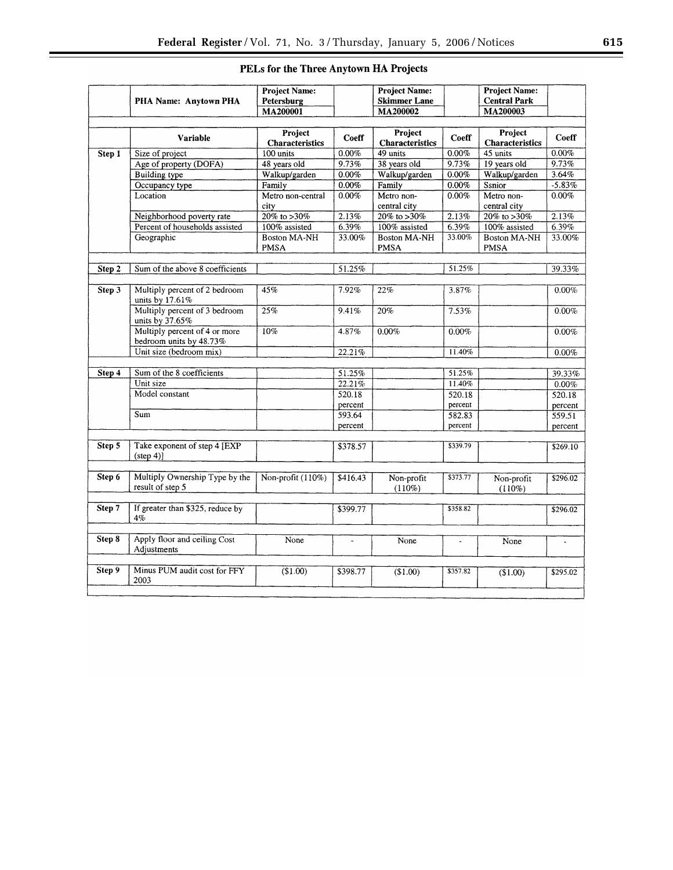|        |                                                     | <b>Project Name:</b>              |          | <b>Project Name:</b>                                      |          | <b>Project Name:</b>              |           |
|--------|-----------------------------------------------------|-----------------------------------|----------|-----------------------------------------------------------|----------|-----------------------------------|-----------|
|        | PHA Name: Anytown PHA                               | Petersburg                        |          | <b>Skimmer Lane</b>                                       |          | <b>Central Park</b>               |           |
|        |                                                     | MA200001                          |          | MA200002                                                  |          | MA200003                          |           |
|        |                                                     |                                   |          |                                                           |          |                                   |           |
|        | <b>Variable</b>                                     | Project<br><b>Characteristics</b> | Coeff    | Project<br><b>Characteristics</b>                         | Coeff    | Project<br><b>Characteristics</b> | Coeff     |
| Step 1 | Size of project                                     | 100 units                         | 0.00%    | 49 units                                                  | $0.00\%$ | 45 units                          | $0.00\%$  |
|        | Age of property (DOFA)                              | 48 years old                      | 9.73%    | 38 years old                                              | 9.73%    | 19 years old                      | 9.73%     |
|        | <b>Building</b> type                                | Walkup/garden                     | 0.00%    | Walkup/garden                                             | 0.00%    | Walkup/garden                     | 3.64%     |
|        | Occupancy type                                      | Family                            | 0.00%    | Family                                                    | 0.00%    | Ssnior                            | $-5.83\%$ |
|        | Location                                            | Metro non-central                 | 0.00%    | Metro non-                                                | 0.00%    | Metro non-                        | 0.00%     |
|        |                                                     | city                              |          | central city                                              |          | central city                      |           |
|        | Neighborhood poverty rate                           | $20\%$ to >30%                    | 2.13%    | $\frac{20\% \text{ to } > 30\%}{20\% \text{ to } > 30\%}$ | 2.13%    | $20\%$ to > 30%                   | 2.13%     |
|        | Percent of households assisted                      | 100% assisted                     | 6.39%    | 100% assisted                                             | 6.39%    | 100% assisted                     | $6.39\%$  |
|        | Geographic                                          | <b>Boston MA-NH</b>               | 33.00%   | <b>Boston MA-NH</b>                                       | 33.00%   | <b>Boston MA-NH</b>               | 33.00%    |
|        |                                                     | <b>PMSA</b>                       |          | <b>PMSA</b>                                               |          | <b>PMSA</b>                       |           |
|        |                                                     |                                   |          |                                                           |          |                                   |           |
| Step 2 | Sum of the above 8 coefficients                     |                                   | 51.25%   |                                                           | 51.25%   |                                   | 39.33%    |
|        |                                                     |                                   |          |                                                           |          |                                   |           |
| Step 3 | Multiply percent of 2 bedroom                       | 45%                               | 7.92%    | 22%                                                       | 3.87%    |                                   | 0.00%     |
|        | units by 17.61%                                     |                                   |          |                                                           |          |                                   |           |
|        | Multiply percent of 3 bedroom<br>units by 37.65%    | 25%                               | 9.41%    | 20%                                                       | 7.53%    |                                   | 0.00%     |
|        | Multiply percent of 4 or more                       | 10%                               | 4.87%    | 0.00%                                                     | 0.00%    |                                   | 0.00%     |
|        | bedroom units by 48.73%                             |                                   |          |                                                           |          |                                   |           |
|        | Unit size (bedroom mix)                             |                                   | 22.21%   |                                                           | 11.40%   |                                   | $0.00\%$  |
|        |                                                     |                                   |          |                                                           |          |                                   |           |
| Step 4 | Sum of the 8 coefficients                           |                                   | 51.25%   |                                                           | 51.25%   |                                   | 39.33%    |
|        | Unit size                                           |                                   | 22.21%   |                                                           | 11.40%   |                                   | 0.00%     |
|        | Model constant                                      |                                   | 520.18   |                                                           | 520.18   |                                   | 520.18    |
|        |                                                     |                                   | percent  |                                                           | percent  |                                   | percent   |
|        | Sum                                                 |                                   | 593.64   |                                                           | 582.83   |                                   | 559.51    |
|        |                                                     |                                   | percent  |                                                           | percent  |                                   | percent   |
|        |                                                     |                                   |          |                                                           |          |                                   |           |
| Step 5 | Take exponent of step 4 [EXP]<br>$(\text{step } 4)$ |                                   | \$378.57 |                                                           | \$339.79 |                                   | \$269.10  |
|        |                                                     |                                   |          |                                                           |          |                                   |           |
| Step 6 | Multiply Ownership Type by the<br>result of step 5  | Non-profit (110%)                 | \$416.43 | Non-profit<br>$(110\%)$                                   | \$373.77 | Non-profit<br>$(110\%)$           | \$296.02  |
|        |                                                     |                                   |          |                                                           |          |                                   |           |
| Step 7 | If greater than \$325, reduce by<br>4%              |                                   | \$399.77 |                                                           | \$358.82 |                                   | \$296.02  |
|        |                                                     |                                   |          |                                                           |          |                                   |           |
| Step 8 | Apply floor and ceiling Cost<br>Adjustments         | None                              |          | None                                                      |          | None                              |           |
|        |                                                     |                                   |          |                                                           |          |                                   |           |
| Step 9 | Minus PUM audit cost for FFY<br>2003                | (\$1.00)                          | \$398.77 | \$1.00                                                    | \$357.82 | (\$1.00)                          | \$295.02  |
|        |                                                     |                                   |          |                                                           |          |                                   |           |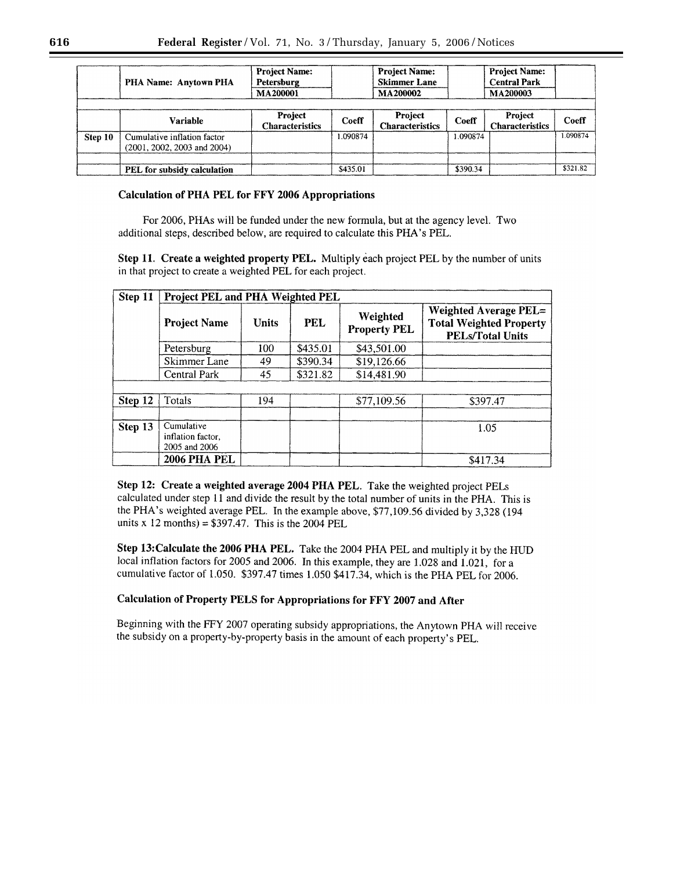|         | PHA Name: Anytown PHA                                      | <b>Project Name:</b><br><b>Project Name:</b><br><b>Skimmer Lane</b><br>Petersburg<br><b>MA200002</b><br>MA200001 |          | <b>Project Name:</b><br><b>Central Park</b><br>MA200003 |          |                                   |          |
|---------|------------------------------------------------------------|------------------------------------------------------------------------------------------------------------------|----------|---------------------------------------------------------|----------|-----------------------------------|----------|
|         |                                                            |                                                                                                                  |          |                                                         |          |                                   |          |
|         | Variable                                                   | Project<br><b>Characteristics</b>                                                                                | Coeff    | Project<br><b>Characteristics</b>                       | Coeff    | Project<br><b>Characteristics</b> | Coeff    |
| Step 10 | Cumulative inflation factor<br>(2001, 2002, 2003 and 2004) |                                                                                                                  | 1.090874 |                                                         | 1.090874 |                                   | 1.090874 |
|         | PEL for subsidy calculation                                |                                                                                                                  | \$435.01 |                                                         | \$390.34 |                                   | \$321.82 |

# **Calculation of PHA PEL for FFY 2006 Appropriations**

For 2006, PHAs will be funded under the new formula, but at the agency level. Two additional steps, described below, are required to calculate this PHA's PEL.

Step 11. Create a weighted property PEL. Multiply each project PEL by the number of units in that project to create a weighted PEL for each project.

| Step 11 | Project PEL and PHA Weighted PEL                 |              |            |                                 |                                                                                           |
|---------|--------------------------------------------------|--------------|------------|---------------------------------|-------------------------------------------------------------------------------------------|
|         | <b>Project Name</b>                              | <b>Units</b> | <b>PEL</b> | Weighted<br><b>Property PEL</b> | <b>Weighted Average PEL=</b><br><b>Total Weighted Property</b><br><b>PELs/Total Units</b> |
|         | Petersburg                                       | 100          | \$435.01   | \$43,501.00                     |                                                                                           |
|         | Skimmer Lane                                     | 49           | \$390.34   | \$19,126.66                     |                                                                                           |
|         | Central Park                                     | 45           | \$321.82   | \$14,481.90                     |                                                                                           |
|         |                                                  |              |            |                                 |                                                                                           |
| Step 12 | Totals                                           | 194          |            | \$77,109.56                     | \$397.47                                                                                  |
|         |                                                  |              |            |                                 |                                                                                           |
| Step 13 | Cumulative<br>inflation factor.<br>2005 and 2006 |              |            |                                 | 1.05                                                                                      |
|         | <b>2006 PHA PEL</b>                              |              |            |                                 | \$417.34                                                                                  |

Step 12: Create a weighted average 2004 PHA PEL. Take the weighted project PELs calculated under step 11 and divide the result by the total number of units in the PHA. This is the PHA's weighted average PEL. In the example above, \$77,109.56 divided by 3,328 (194 units x 12 months) =  $$397.47$ . This is the 2004 PEL

Step 13: Calculate the 2006 PHA PEL. Take the 2004 PHA PEL and multiply it by the HUD local inflation factors for 2005 and 2006. In this example, they are 1.028 and 1.021, for a cumulative factor of 1.050. \$397.47 times 1.050 \$417.34, which is the PHA PEL for 2006.

# Calculation of Property PELS for Appropriations for FFY 2007 and After

Beginning with the FFY 2007 operating subsidy appropriations, the Anytown PHA will receive the subsidy on a property-by-property basis in the amount of each property's PEL.